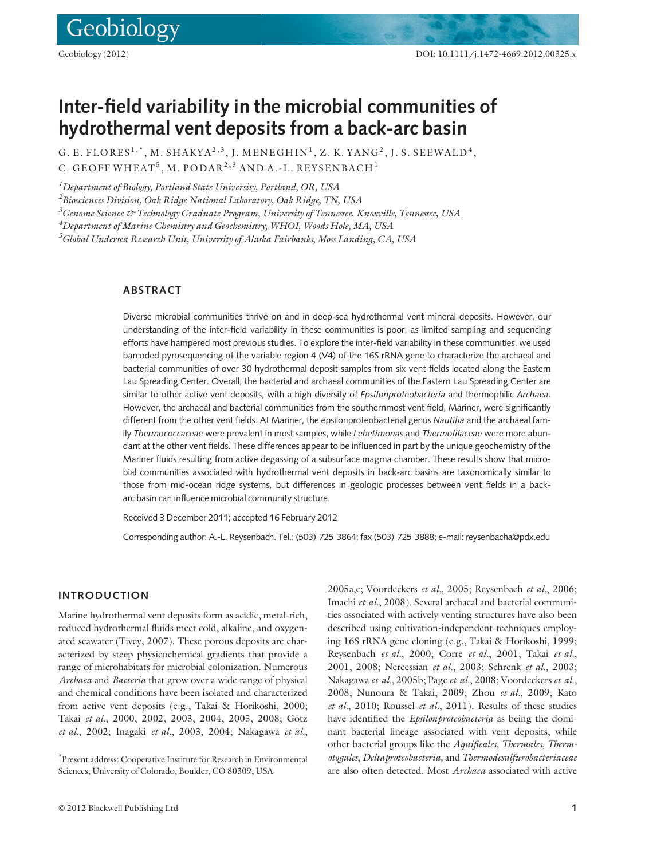Geobiology

# Inter-field variability in the microbial communities of hydrothermal vent deposits from a back-arc basin

G. E. FLORES<sup>1,\*</sup>, M. SHAKYA<sup>2,3</sup>, J. MENEGHIN<sup>1</sup>, Z. K. YANG<sup>2</sup>, J. S. SEEWALD<sup>4</sup>, C. GEOFF WHEAT<sup>5</sup>, M. PODAR<sup>2,3</sup> AND A.-L. REYSENBACH<sup>1</sup>

 $^{\textit{1}}$ Department of Biology, Portland State University, Portland, OR, USA

 $^2$ Biosciences Division, Oak Ridge National Laboratory, Oak Ridge, TN, USA

 $^3$ Genome Science & Technology Graduate Program, University of Tennessee, Knoxville, Tennessee, USA

 $^4$ Department of Marine Chemistry and Geochemistry, WHOI, Woods Hole, MA, USA

 $^5$ Global Undersea Research Unit, University of Alaska Fairbanks, Moss Landing, CA, USA

# **ARSTRACT**

Diverse microbial communities thrive on and in deep-sea hydrothermal vent mineral deposits. However, our understanding of the inter-field variability in these communities is poor, as limited sampling and sequencing efforts have hampered most previous studies. To explore the inter-field variability in these communities, we used barcoded pyrosequencing of the variable region 4 (V4) of the 16S rRNA gene to characterize the archaeal and bacterial communities of over 30 hydrothermal deposit samples from six vent fields located along the Eastern Lau Spreading Center. Overall, the bacterial and archaeal communities of the Eastern Lau Spreading Center are similar to other active vent deposits, with a high diversity of Epsilonproteobacteria and thermophilic Archaea. However, the archaeal and bacterial communities from the southernmost vent field, Mariner, were significantly different from the other vent fields. At Mariner, the epsilonproteobacterial genus Nautilia and the archaeal family Thermococcaceae were prevalent in most samples, while Lebetimonas and Thermofilaceae were more abundant at the other vent fields. These differences appear to be influenced in part by the unique geochemistry of the Mariner fluids resulting from active degassing of a subsurface magma chamber. These results show that microbial communities associated with hydrothermal vent deposits in back-arc basins are taxonomically similar to those from mid-ocean ridge systems, but differences in geologic processes between vent fields in a backarc basin can influence microbial community structure.

Received 3 December 2011; accepted 16 February 2012

Corresponding author: A.-L. Reysenbach. Tel.: (503) 725 3864; fax (503) 725 3888; e-mail: reysenbacha@pdx.edu

# INTRODUCTION

Marine hydrothermal vent deposits form as acidic, metal-rich, reduced hydrothermal fluids meet cold, alkaline, and oxygenated seawater (Tivey, 2007). These porous deposits are characterized by steep physicochemical gradients that provide a range of microhabitats for microbial colonization. Numerous Archaea and Bacteria that grow over a wide range of physical and chemical conditions have been isolated and characterized from active vent deposits (e.g., Takai & Horikoshi, 2000; Takai et al., 2000, 2002, 2003, 2004, 2005, 2008; Götz et al., 2002; Inagaki et al., 2003, 2004; Nakagawa et al.,

\* Present address: Cooperative Institute for Research in Environmental Sciences, University of Colorado, Boulder, CO 80309, USA

2005a,c; Voordeckers et al., 2005; Reysenbach et al., 2006; Imachi et al., 2008). Several archaeal and bacterial communities associated with actively venting structures have also been described using cultivation-independent techniques employing 16S rRNA gene cloning (e.g., Takai & Horikoshi, 1999; Reysenbach et al., 2000; Corre et al., 2001; Takai et al., 2001, 2008; Nercessian et al., 2003; Schrenk et al., 2003; Nakagawa et al., 2005b; Page et al., 2008; Voordeckers et al., 2008; Nunoura & Takai, 2009; Zhou et al., 2009; Kato et al., 2010; Roussel et al., 2011). Results of these studies have identified the *Epsilonproteobacteria* as being the dominant bacterial lineage associated with vent deposits, while other bacterial groups like the Aquificales, Thermales, Thermotogales, Deltaproteobacteria, and Thermodesulfurobacteriaceae are also often detected. Most Archaea associated with active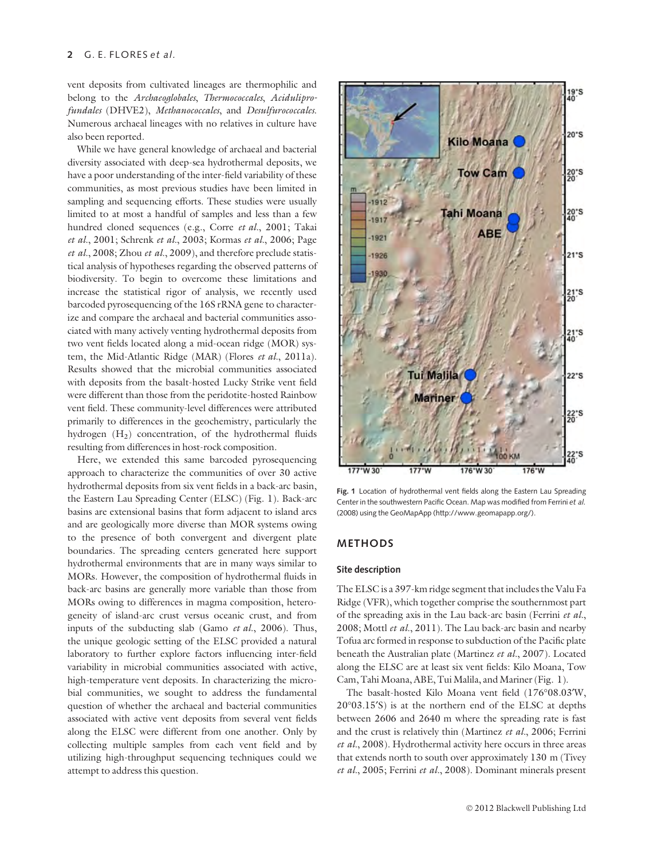vent deposits from cultivated lineages are thermophilic and belong to the Archaeoglobales, Thermococcales, Aciduliprofundales (DHVE2), Methanococcales, and Desulfurococcales. Numerous archaeal lineages with no relatives in culture have also been reported.

While we have general knowledge of archaeal and bacterial diversity associated with deep-sea hydrothermal deposits, we have a poor understanding of the inter-field variability of these communities, as most previous studies have been limited in sampling and sequencing efforts. These studies were usually limited to at most a handful of samples and less than a few hundred cloned sequences (e.g., Corre et al., 2001; Takai et al., 2001; Schrenk et al., 2003; Kormas et al., 2006; Page et al., 2008; Zhou et al., 2009), and therefore preclude statistical analysis of hypotheses regarding the observed patterns of biodiversity. To begin to overcome these limitations and increase the statistical rigor of analysis, we recently used barcoded pyrosequencing of the 16S rRNA gene to characterize and compare the archaeal and bacterial communities associated with many actively venting hydrothermal deposits from two vent fields located along a mid-ocean ridge (MOR) system, the Mid-Atlantic Ridge (MAR) (Flores et al., 2011a). Results showed that the microbial communities associated with deposits from the basalt-hosted Lucky Strike vent field were different than those from the peridotite-hosted Rainbow vent field. These community-level differences were attributed primarily to differences in the geochemistry, particularly the hydrogen  $(H<sub>2</sub>)$  concentration, of the hydrothermal fluids resulting from differences in host-rock composition.

Here, we extended this same barcoded pyrosequencing approach to characterize the communities of over 30 active hydrothermal deposits from six vent fields in a back-arc basin, the Eastern Lau Spreading Center (ELSC) (Fig. 1). Back-arc basins are extensional basins that form adjacent to island arcs and are geologically more diverse than MOR systems owing to the presence of both convergent and divergent plate boundaries. The spreading centers generated here support hydrothermal environments that are in many ways similar to MORs. However, the composition of hydrothermal fluids in back-arc basins are generally more variable than those from MORs owing to differences in magma composition, heterogeneity of island-arc crust versus oceanic crust, and from inputs of the subducting slab (Gamo et al., 2006). Thus, the unique geologic setting of the ELSC provided a natural laboratory to further explore factors influencing inter-field variability in microbial communities associated with active, high-temperature vent deposits. In characterizing the microbial communities, we sought to address the fundamental question of whether the archaeal and bacterial communities associated with active vent deposits from several vent fields along the ELSC were different from one another. Only by collecting multiple samples from each vent field and by utilizing high-throughput sequencing techniques could we attempt to address this question.



Fig. 1 Location of hydrothermal vent fields along the Eastern Lau Spreading Center in the southwestern Pacific Ocean. Map was modified from Ferrini et al. (2008) using the GeoMapApp (http://www.geomapapp.org/).

# METHODS

## Site description

The ELSC is a 397-km ridge segment that includes the Valu Fa Ridge (VFR), which together comprise the southernmost part of the spreading axis in the Lau back-arc basin (Ferrini et al., 2008; Mottl et al., 2011). The Lau back-arc basin and nearby Tofua arc formed in response to subduction of the Pacific plate beneath the Australian plate (Martinez et al., 2007). Located along the ELSC are at least six vent fields: Kilo Moana, Tow Cam, Tahi Moana, ABE, Tui Malila, and Mariner (Fig. 1).

The basalt-hosted Kilo Moana vent field (176°08.03'W, 20°03.15'S) is at the northern end of the ELSC at depths between 2606 and 2640 m where the spreading rate is fast and the crust is relatively thin (Martinez et al., 2006; Ferrini et al., 2008). Hydrothermal activity here occurs in three areas that extends north to south over approximately 130 m (Tivey et al., 2005; Ferrini et al., 2008). Dominant minerals present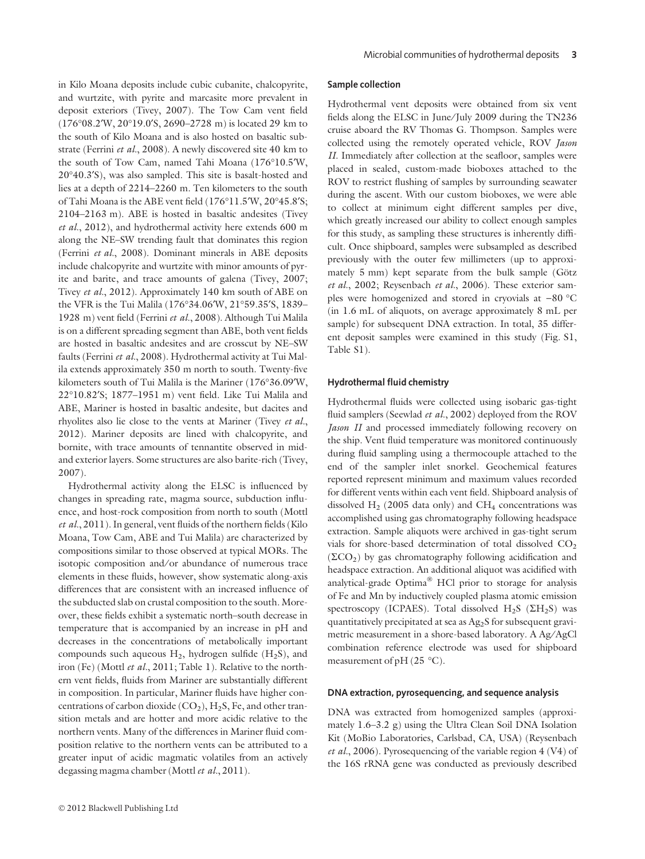in Kilo Moana deposits include cubic cubanite, chalcopyrite, and wurtzite, with pyrite and marcasite more prevalent in deposit exteriors (Tivey, 2007). The Tow Cam vent field  $(176°08.2'W, 20°19.0'S, 2690–2728 m)$  is located 29 km to the south of Kilo Moana and is also hosted on basaltic substrate (Ferrini et al., 2008). A newly discovered site 40 km to the south of Tow Cam, named Tahi Moana (176°10.5<sup>'</sup>W, 20°40.3'S), was also sampled. This site is basalt-hosted and lies at a depth of 2214–2260 m. Ten kilometers to the south of Tahi Moana is the ABE vent field (176°11.5<sup>o</sup>W, 20°45.8<sup>o</sup>S; 2104–2163 m). ABE is hosted in basaltic andesites (Tivey et al., 2012), and hydrothermal activity here extends 600 m along the NE–SW trending fault that dominates this region (Ferrini et al., 2008). Dominant minerals in ABE deposits include chalcopyrite and wurtzite with minor amounts of pyrite and barite, and trace amounts of galena (Tivey, 2007; Tivey et al., 2012). Approximately 140 km south of ABE on the VFR is the Tui Malila (176°34.06′W, 21°59.35′S, 1839– 1928 m) vent field (Ferrini et al., 2008). Although Tui Malila is on a different spreading segment than ABE, both vent fields are hosted in basaltic andesites and are crosscut by NE–SW faults (Ferrini et al., 2008). Hydrothermal activity at Tui Malila extends approximately 350 m north to south. Twenty-five kilometers south of Tui Malila is the Mariner (176°36.09°W, 22°10.82'S; 1877-1951 m) vent field. Like Tui Malila and ABE, Mariner is hosted in basaltic andesite, but dacites and rhyolites also lie close to the vents at Mariner (Tivey et al., 2012). Mariner deposits are lined with chalcopyrite, and bornite, with trace amounts of tennantite observed in midand exterior layers. Some structures are also barite-rich (Tivey, 2007).

Hydrothermal activity along the ELSC is influenced by changes in spreading rate, magma source, subduction influence, and host-rock composition from north to south (Mottl et al., 2011). In general, vent fluids of the northern fields (Kilo Moana, Tow Cam, ABE and Tui Malila) are characterized by compositions similar to those observed at typical MORs. The isotopic composition and/or abundance of numerous trace elements in these fluids, however, show systematic along-axis differences that are consistent with an increased influence of the subducted slab on crustal composition to the south. Moreover, these fields exhibit a systematic north–south decrease in temperature that is accompanied by an increase in pH and decreases in the concentrations of metabolically important compounds such aqueous  $H_2$ , hydrogen sulfide  $(H_2S)$ , and iron (Fe) (Mottl et al., 2011; Table 1). Relative to the northern vent fields, fluids from Mariner are substantially different in composition. In particular, Mariner fluids have higher concentrations of carbon dioxide  $(CO<sub>2</sub>)$ , H<sub>2</sub>S, Fe, and other transition metals and are hotter and more acidic relative to the northern vents. Many of the differences in Mariner fluid composition relative to the northern vents can be attributed to a greater input of acidic magmatic volatiles from an actively degassing magma chamber (Mottl et al., 2011).

#### Sample collection

Hydrothermal vent deposits were obtained from six vent fields along the ELSC in June/July 2009 during the TN236 cruise aboard the RV Thomas G. Thompson. Samples were collected using the remotely operated vehicle, ROV Jason II. Immediately after collection at the seafloor, samples were placed in sealed, custom-made bioboxes attached to the ROV to restrict flushing of samples by surrounding seawater during the ascent. With our custom bioboxes, we were able to collect at minimum eight different samples per dive, which greatly increased our ability to collect enough samples for this study, as sampling these structures is inherently difficult. Once shipboard, samples were subsampled as described previously with the outer few millimeters (up to approximately 5 mm) kept separate from the bulk sample (Götz et al., 2002; Reysenbach et al., 2006). These exterior samples were homogenized and stored in cryovials at  $-80$  °C (in 1.6 mL of aliquots, on average approximately 8 mL per sample) for subsequent DNA extraction. In total, 35 different deposit samples were examined in this study (Fig. S1, Table S1).

## Hydrothermal fluid chemistry

Hydrothermal fluids were collected using isobaric gas-tight fluid samplers (Seewlad et al., 2002) deployed from the ROV Jason II and processed immediately following recovery on the ship. Vent fluid temperature was monitored continuously during fluid sampling using a thermocouple attached to the end of the sampler inlet snorkel. Geochemical features reported represent minimum and maximum values recorded for different vents within each vent field. Shipboard analysis of dissolved  $H_2$  (2005 data only) and  $CH_4$  concentrations was accomplished using gas chromatography following headspace extraction. Sample aliquots were archived in gas-tight serum vials for shore-based determination of total dissolved  $CO<sub>2</sub>$  $(\Sigma CO_2)$  by gas chromatography following acidification and headspace extraction. An additional aliquot was acidified with analytical-grade Optima® HCl prior to storage for analysis of Fe and Mn by inductively coupled plasma atomic emission spectroscopy (ICPAES). Total dissolved  $H_2S$  ( $\Sigma H_2S$ ) was quantitatively precipitated at sea as Ag2S for subsequent gravimetric measurement in a shore-based laboratory. A Ag/AgCl combination reference electrode was used for shipboard measurement of pH (25 $\degree$ C).

## DNA extraction, pyrosequencing, and sequence analysis

DNA was extracted from homogenized samples (approximately 1.6–3.2 g) using the Ultra Clean Soil DNA Isolation Kit (MoBio Laboratories, Carlsbad, CA, USA) (Reysenbach et al., 2006). Pyrosequencing of the variable region  $4 (V4)$  of the 16S rRNA gene was conducted as previously described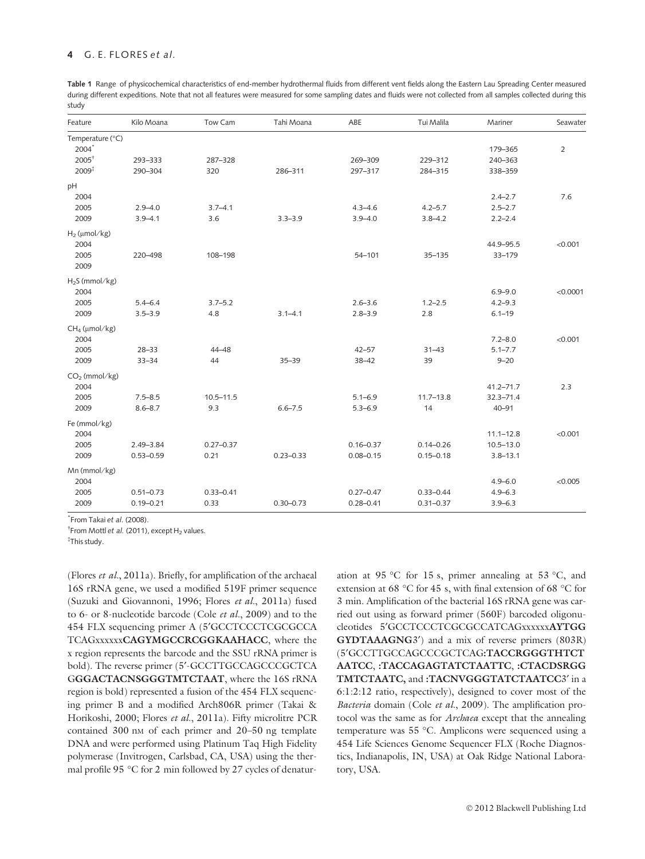Table 1 Range of physicochemical characteristics of end-member hydrothermal fluids from different vent fields along the Eastern Lau Spreading Center measured during different expeditions. Note that not all features were measured for some sampling dates and fluids were not collected from all samples collected during this study

| Feature                      | Kilo Moana    | Tow Cam            | Tahi Moana    | ABE           | Tui Malila    | Mariner                    | Seawater       |
|------------------------------|---------------|--------------------|---------------|---------------|---------------|----------------------------|----------------|
| Temperature (°C)<br>$2004^*$ |               |                    |               |               |               | 179-365                    | $\overline{2}$ |
| $2005^{\dagger}$             | 293-333       | 287-328            |               | 269-309       | 229-312       | 240-363                    |                |
| $2009^{\ddagger}$            | 290-304       | 320                | 286-311       | 297-317       | 284-315       | 338-359                    |                |
| pH                           |               |                    |               |               |               |                            |                |
| 2004<br>2005                 | $2.9 - 4.0$   |                    |               | $4.3 - 4.6$   | $4.2 - 5.7$   | $2.4 - 2.7$<br>$2.5 - 2.7$ | 7.6            |
| 2009                         | $3.9 - 4.1$   | $3.7 - 4.1$<br>3.6 | $3.3 - 3.9$   | $3.9 - 4.0$   | $3.8 - 4.2$   | $2.2 - 2.4$                |                |
|                              |               |                    |               |               |               |                            |                |
| $H_2$ (µmol/kg)<br>2004      |               |                    |               |               |               | 44.9-95.5                  | < 0.001        |
| 2005<br>2009                 | 220-498       | 108-198            |               | $54 - 101$    | $35 - 135$    | 33-179                     |                |
| $H_2S$ (mmol/kg)             |               |                    |               |               |               |                            |                |
| 2004                         |               |                    |               |               |               | $6.9 - 9.0$                | < 0.0001       |
| 2005                         | $5.4 - 6.4$   | $3.7 - 5.2$        |               | $2.6 - 3.6$   | $1.2 - 2.5$   | $4.2 - 9.3$                |                |
| 2009                         | $3.5 - 3.9$   | 4.8                | $3.1 - 4.1$   | $2.8 - 3.9$   | 2.8           | $6.1 - 19$                 |                |
| $CH4$ (µmol/kg)<br>2004      |               |                    |               |               |               | $7.2 - 8.0$                | < 0.001        |
| 2005                         | $28 - 33$     | $44 - 48$          |               | $42 - 57$     | $31 - 43$     | $5.1 - 7.7$                |                |
| 2009                         | $33 - 34$     | 44                 | $35 - 39$     | $38 - 42$     | 39            | $9 - 20$                   |                |
| $CO2$ (mmol/kg)              |               |                    |               |               |               |                            |                |
| 2004                         |               |                    |               |               |               | $41.2 - 71.7$              | 2.3            |
| 2005                         | $7.5 - 8.5$   | $10.5 - 11.5$      |               | $5.1 - 6.9$   | $11.7 - 13.8$ | $32.3 - 71.4$              |                |
| 2009                         | $8.6 - 8.7$   | 9.3                | $6.6 - 7.5$   | $5.3 - 6.9$   | 14            | $40 - 91$                  |                |
| Fe (mmol/kg)<br>2004         |               |                    |               |               |               | $11.1 - 12.8$              | < 0.001        |
| 2005                         | $2.49 - 3.84$ | $0.27 - 0.37$      |               | $0.16 - 0.37$ | $0.14 - 0.26$ | $10.5 - 13.0$              |                |
| 2009                         | $0.53 - 0.59$ | 0.21               | $0.23 - 0.33$ | $0.08 - 0.15$ | $0.15 - 0.18$ | $3.8 - 13.1$               |                |
|                              |               |                    |               |               |               |                            |                |
| Mn (mmol/kg)<br>2004         |               |                    |               |               |               | $4.9 - 6.0$                | < 0.005        |
| 2005                         | $0.51 - 0.73$ | $0.33 - 0.41$      |               | $0.27 - 0.47$ | $0.33 - 0.44$ | $4.9 - 6.3$                |                |
| 2009                         | $0.19 - 0.21$ | 0.33               | $0.30 - 0.73$ | $0.28 - 0.41$ | $0.31 - 0.37$ | $3.9 - 6.3$                |                |
|                              |               |                    |               |               |               |                            |                |

\* From Takai et al. (2008).

<sup>†</sup> From Mottl et al. (2011), except H<sub>2</sub> values.

This study.

(Flores et al., 2011a). Briefly, for amplification of the archaeal 16S rRNA gene, we used a modified 519F primer sequence (Suzuki and Giovannoni, 1996; Flores et al., 2011a) fused to 6- or 8-nucleotide barcode (Cole et al., 2009) and to the 454 FLX sequencing primer A (5¢GCCTCCCTCGCGCCA TCAGxxxxxxCAGYMGCCRCGGKAAHACC, where the x region represents the barcode and the SSU rRNA primer is bold). The reverse primer (5'-GCCTTGCCAGCCCGCTCA GGGACTACNSGGGTMTCTAAT, where the 16S rRNA region is bold) represented a fusion of the 454 FLX sequencing primer B and a modified Arch806R primer (Takai & Horikoshi, 2000; Flores et al., 2011a). Fifty microlitre PCR contained 300 nM of each primer and 20–50 ng template DNA and were performed using Platinum Taq High Fidelity polymerase (Invitrogen, Carlsbad, CA, USA) using the thermal profile 95  $\degree$ C for 2 min followed by 27 cycles of denatur-

ation at 95 °C for 15 s, primer annealing at 53 °C, and extension at 68 °C for 45 s, with final extension of 68 °C for 3 min. Amplification of the bacterial 16S rRNA gene was carried out using as forward primer (560F) barcoded oligonucleotides 5¢GCCTCCCTCGCGCCATCAGxxxxxxAYTGG GYDTAAAGNG3') and a mix of reverse primers (803R) (5¢GCCTTGCCAGCCCGCTCAG:TACCRGGGTHTCT AATCC, :TACCAGAGTATCTAATTC, :CTACDSRGG TMTCTAATC, and :TACNVGGGTATCTAATCC3' in a 6:1:2:12 ratio, respectively), designed to cover most of the Bacteria domain (Cole et al., 2009). The amplification protocol was the same as for Archaea except that the annealing temperature was 55 °C. Amplicons were sequenced using a 454 Life Sciences Genome Sequencer FLX (Roche Diagnostics, Indianapolis, IN, USA) at Oak Ridge National Laboratory, USA.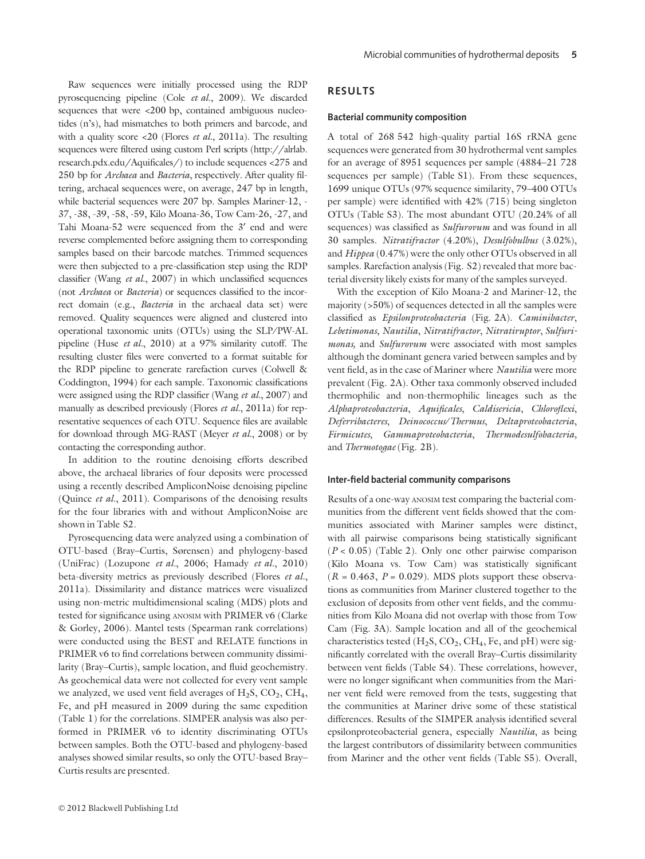Raw sequences were initially processed using the RDP pyrosequencing pipeline (Cole et al., 2009). We discarded sequences that were <200 bp, contained ambiguous nucleotides (n's), had mismatches to both primers and barcode, and with a quality score  $\langle 20 \rangle$  (Flores *et al.*, 2011a). The resulting sequences were filtered using custom Perl scripts (http://alrlab. research.pdx.edu/Aquificales/) to include sequences <275 and 250 bp for Archaea and Bacteria, respectively. After quality filtering, archaeal sequences were, on average, 247 bp in length, while bacterial sequences were 207 bp. Samples Mariner-12, - 37, -38, -39, -58, -59, Kilo Moana-36, Tow Cam-26, -27, and Tahi Moana-52 were sequenced from the 3' end and were reverse complemented before assigning them to corresponding samples based on their barcode matches. Trimmed sequences were then subjected to a pre-classification step using the RDP classifier (Wang et al., 2007) in which unclassified sequences (not Archaea or Bacteria) or sequences classified to the incorrect domain (e.g., Bacteria in the archaeal data set) were removed. Quality sequences were aligned and clustered into operational taxonomic units (OTUs) using the SLP⁄PW-AL pipeline (Huse et al., 2010) at a 97% similarity cutoff. The resulting cluster files were converted to a format suitable for the RDP pipeline to generate rarefaction curves (Colwell & Coddington, 1994) for each sample. Taxonomic classifications were assigned using the RDP classifier (Wang et al., 2007) and manually as described previously (Flores et al., 2011a) for representative sequences of each OTU. Sequence files are available for download through MG-RAST (Meyer et al., 2008) or by contacting the corresponding author.

In addition to the routine denoising efforts described above, the archaeal libraries of four deposits were processed using a recently described AmpliconNoise denoising pipeline (Quince et al., 2011). Comparisons of the denoising results for the four libraries with and without AmpliconNoise are shown in Table S2.

Pyrosequencing data were analyzed using a combination of OTU-based (Bray–Curtis, Sørensen) and phylogeny-based (UniFrac) (Lozupone et al., 2006; Hamady et al., 2010) beta-diversity metrics as previously described (Flores et al., 2011a). Dissimilarity and distance matrices were visualized using non-metric multidimensional scaling (MDS) plots and tested for significance using ANOSIM with PRIMER v6 (Clarke & Gorley, 2006). Mantel tests (Spearman rank correlations) were conducted using the BEST and RELATE functions in PRIMER v6 to find correlations between community dissimilarity (Bray–Curtis), sample location, and fluid geochemistry. As geochemical data were not collected for every vent sample we analyzed, we used vent field averages of  $H_2S$ ,  $CO_2$ ,  $CH_4$ , Fe, and pH measured in 2009 during the same expedition (Table 1) for the correlations. SIMPER analysis was also performed in PRIMER v6 to identity discriminating OTUs between samples. Both the OTU-based and phylogeny-based analyses showed similar results, so only the OTU-based Bray– Curtis results are presented.

# RESULTS

#### Bacterial community composition

A total of 268 542 high-quality partial 16S rRNA gene sequences were generated from 30 hydrothermal vent samples for an average of 8951 sequences per sample (4884–21 728 sequences per sample) (Table S1). From these sequences, 1699 unique OTUs (97% sequence similarity, 79–400 OTUs per sample) were identified with 42% (715) being singleton OTUs (Table S3). The most abundant OTU (20.24% of all sequences) was classified as *Sulfurovum* and was found in all 30 samples. Nitratifractor (4.20%), Desulfobulbus (3.02%), and Hippea (0.47%) were the only other OTUs observed in all samples. Rarefaction analysis (Fig. S2) revealed that more bacterial diversity likely exists for many of the samples surveyed.

With the exception of Kilo Moana-2 and Mariner-12, the majority (>50%) of sequences detected in all the samples were classified as Epsilonproteobacteria (Fig. 2A). Caminibacter, Lebetimonas, Nautilia, Nitratifractor, Nitratiruptor, Sulfurimonas, and Sulfurovum were associated with most samples although the dominant genera varied between samples and by vent field, as in the case of Mariner where Nautilia were more prevalent (Fig. 2A). Other taxa commonly observed included thermophilic and non-thermophilic lineages such as the Alphaproteobacteria, Aquificales, Caldisericia, Chloroflexi, Deferribacteres, Deinococcus/Thermus, Deltaproteobacteria, Firmicutes, Gammaproteobacteria, Thermodesulfobacteria, and Thermotogae (Fig. 2B).

#### Inter-field bacterial community comparisons

Results of a one-way ANOSIM test comparing the bacterial communities from the different vent fields showed that the communities associated with Mariner samples were distinct, with all pairwise comparisons being statistically significant  $(P < 0.05)$  (Table 2). Only one other pairwise comparison (Kilo Moana vs. Tow Cam) was statistically significant  $(R = 0.463, P = 0.029)$ . MDS plots support these observations as communities from Mariner clustered together to the exclusion of deposits from other vent fields, and the communities from Kilo Moana did not overlap with those from Tow Cam (Fig. 3A). Sample location and all of the geochemical characteristics tested  $(H_2S, CO_2, CH_4, Fe, and pH)$  were significantly correlated with the overall Bray–Curtis dissimilarity between vent fields (Table S4). These correlations, however, were no longer significant when communities from the Mariner vent field were removed from the tests, suggesting that the communities at Mariner drive some of these statistical differences. Results of the SIMPER analysis identified several epsilonproteobacterial genera, especially Nautilia, as being the largest contributors of dissimilarity between communities from Mariner and the other vent fields (Table S5). Overall,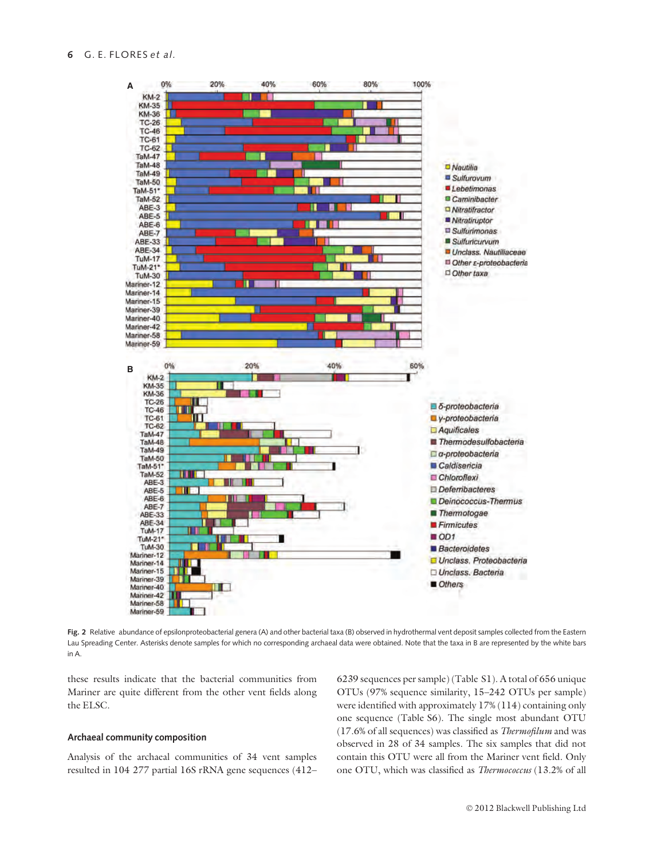

Fig. 2 Relative abundance of epsilonproteobacterial genera (A) and other bacterial taxa (B) observed in hydrothermal vent deposit samples collected from the Eastern Lau Spreading Center. Asterisks denote samples for which no corresponding archaeal data were obtained. Note that the taxa in B are represented by the white bars in A.

these results indicate that the bacterial communities from Mariner are quite different from the other vent fields along the ELSC.

## Archaeal community composition

Analysis of the archaeal communities of 34 vent samples resulted in 104 277 partial 16S rRNA gene sequences (412–

6239 sequences per sample) (Table S1). A total of 656 unique OTUs (97% sequence similarity, 15–242 OTUs per sample) were identified with approximately 17% (114) containing only one sequence (Table S6). The single most abundant OTU (17.6% of all sequences) was classified as Thermofilum and was observed in 28 of 34 samples. The six samples that did not contain this OTU were all from the Mariner vent field. Only one OTU, which was classified as Thermococcus (13.2% of all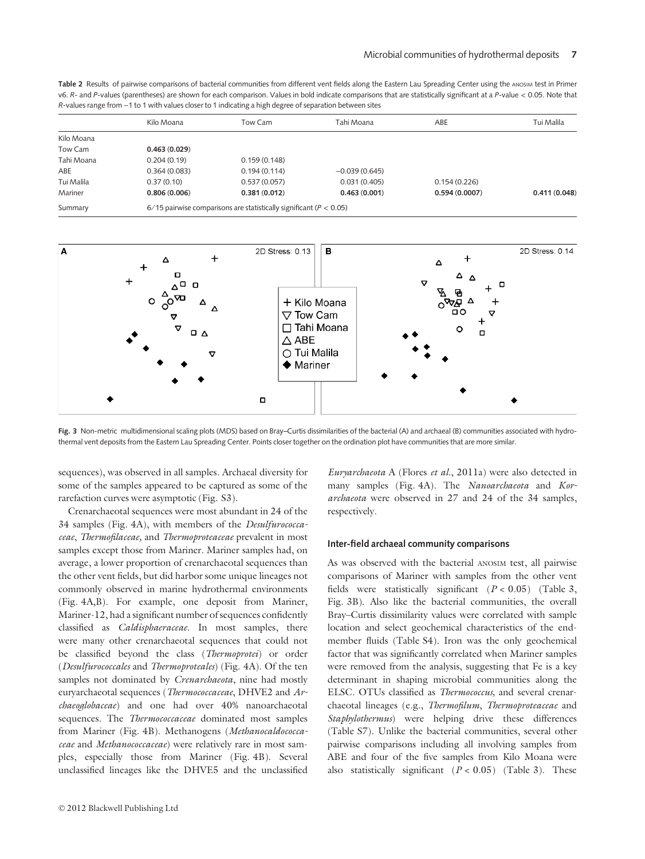Table 2 Results of pairwise comparisons of bacterial communities from different vent fields along the Eastern Lau Spreading Center using the ANOSIM test in Primer v6. R- and P-values (parentheses) are shown for each comparison. Values in bold indicate comparisons that are statistically significant at a P-value < 0.05. Note that R-values range from -1 to 1 with values closer to 1 indicating a high degree of separation between sites

|            | Kilo Moana   | Tow Cam                                                                | Tahi Moana      | ABE           | Tui Malila   |  |  |
|------------|--------------|------------------------------------------------------------------------|-----------------|---------------|--------------|--|--|
| Kilo Moana |              |                                                                        |                 |               |              |  |  |
| Tow Cam    | 0.463(0.029) |                                                                        |                 |               |              |  |  |
| Tahi Moana | 0.204(0.19)  | 0.159(0.148)                                                           |                 |               |              |  |  |
| ABE        | 0.364(0.083) | 0.194(0.114)                                                           | $-0.039(0.645)$ |               |              |  |  |
| Tui Malila | 0.37(0.10)   | 0.537(0.057)                                                           | 0.031(0.405)    | 0.154(0.226)  |              |  |  |
| Mariner    | 0.806(0.006) | 0.381(0.012)                                                           | 0.463(0.001)    | 0.594(0.0007) | 0.411(0.048) |  |  |
| Summary    |              | 6/15 pairwise comparisons are statistically significant ( $P < 0.05$ ) |                 |               |              |  |  |



Fig. 3 Non-metric multidimensional scaling plots (MDS) based on Bray–Curtis dissimilarities of the bacterial (A) and archaeal (B) communities associated with hydrothermal vent deposits from the Eastern Lau Spreading Center. Points closer together on the ordination plot have communities that are more similar.

sequences), was observed in all samples. Archaeal diversity for some of the samples appeared to be captured as some of the rarefaction curves were asymptotic (Fig. S3).

Crenarchaeotal sequences were most abundant in 24 of the 34 samples (Fig. 4A), with members of the Desulfurococcaceae, Thermofilaceae, and Thermoproteaceae prevalent in most samples except those from Mariner. Mariner samples had, on average, a lower proportion of crenarchaeotal sequences than the other vent fields, but did harbor some unique lineages not commonly observed in marine hydrothermal environments (Fig. 4A,B). For example, one deposit from Mariner, Mariner-12, had a significant number of sequences confidently classified as Caldisphaeraceae. In most samples, there were many other crenarchaeotal sequences that could not be classified beyond the class (Thermoprotei) or order (Desulfurococcales and Thermoproteales) (Fig. 4A). Of the ten samples not dominated by *Crenarchaeota*, nine had mostly euryarchaeotal sequences (Thermococcaceae, DHVE2 and Archaeoglobaceae) and one had over 40% nanoarchaeotal sequences. The Thermococcaceae dominated most samples from Mariner (Fig. 4B). Methanogens (Methanocaldococcaceae and Methanococcaceae) were relatively rare in most samples, especially those from Mariner (Fig. 4B). Several unclassified lineages like the DHVE5 and the unclassified

Euryarchaeota A (Flores et al., 2011a) were also detected in many samples (Fig. 4A). The Nanoarchaeota and Korarchaeota were observed in 27 and 24 of the 34 samples, respectively.

#### Inter-field archaeal community comparisons

As was observed with the bacterial ANOSIM test, all pairwise comparisons of Mariner with samples from the other vent fields were statistically significant  $(P < 0.05)$  (Table 3, Fig. 3B). Also like the bacterial communities, the overall Bray–Curtis dissimilarity values were correlated with sample location and select geochemical characteristics of the endmember fluids (Table S4). Iron was the only geochemical factor that was significantly correlated when Mariner samples were removed from the analysis, suggesting that Fe is a key determinant in shaping microbial communities along the ELSC. OTUs classified as Thermococcus, and several crenarchaeotal lineages (e.g., Thermofilum, Thermoproteaceae and Staphylothermus) were helping drive these differences (Table S7). Unlike the bacterial communities, several other pairwise comparisons including all involving samples from ABE and four of the five samples from Kilo Moana were also statistically significant  $(P < 0.05)$  (Table 3). These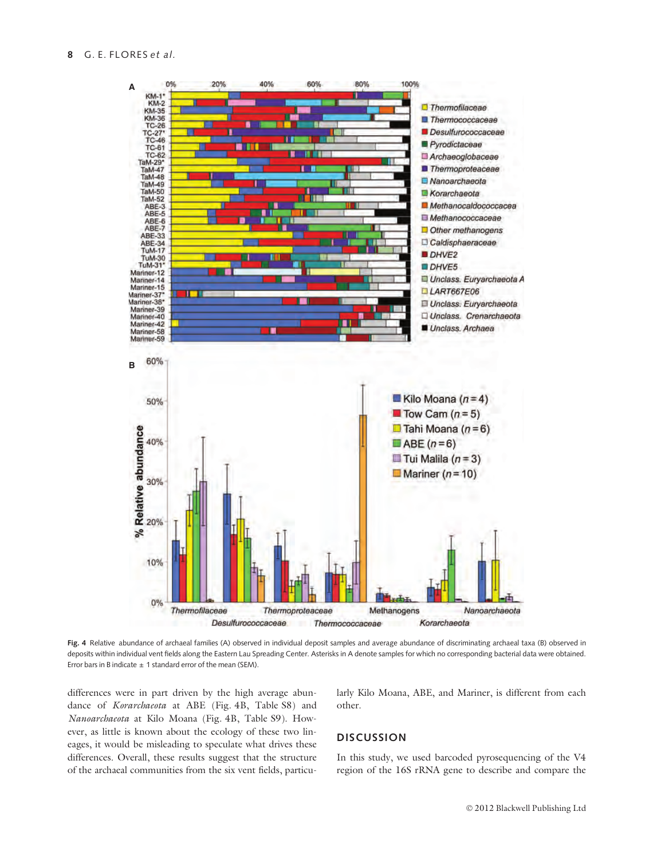

Fig. 4 Relative abundance of archaeal families (A) observed in individual deposit samples and average abundance of discriminating archaeal taxa (B) observed in deposits within individual vent fields along the Eastern Lau Spreading Center. Asterisks in A denote samples for which no corresponding bacterial data were obtained. Error bars in B indicate  $\pm$  1 standard error of the mean (SEM).

differences were in part driven by the high average abundance of Korarchaeota at ABE (Fig. 4B, Table S8) and Nanoarchaeota at Kilo Moana (Fig. 4B, Table S9). However, as little is known about the ecology of these two lineages, it would be misleading to speculate what drives these differences. Overall, these results suggest that the structure of the archaeal communities from the six vent fields, particularly Kilo Moana, ABE, and Mariner, is different from each other.

# **DISCUSSION**

In this study, we used barcoded pyrosequencing of the V4 region of the 16S rRNA gene to describe and compare the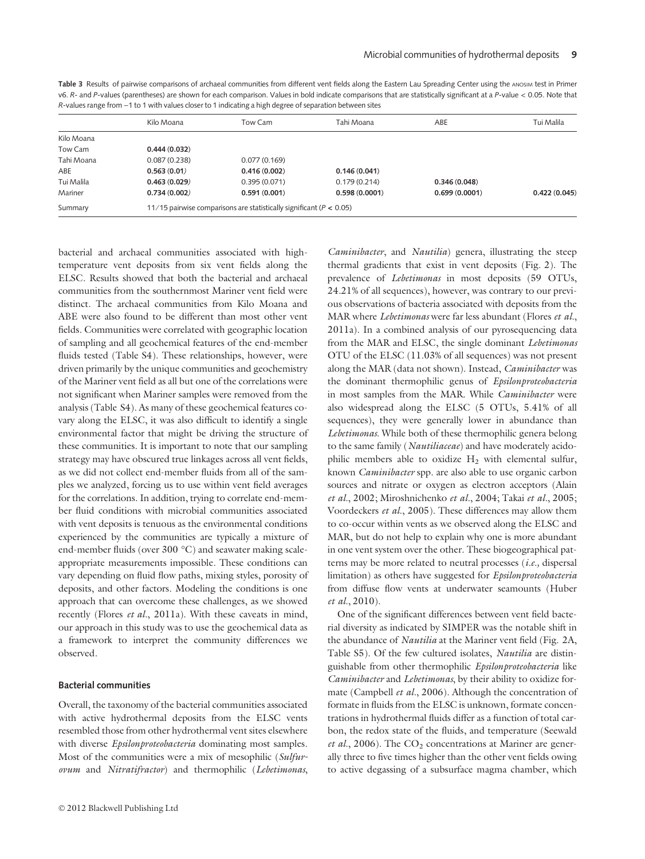| Table 3 Results of pairwise comparisons of archaeal communities from different vent fields along the Eastern Lau Spreading Center using the ANOSIM test in Primer      |
|------------------------------------------------------------------------------------------------------------------------------------------------------------------------|
| v6. R- and P-values (parentheses) are shown for each comparison. Values in bold indicate comparisons that are statistically significant at a P-value < 0.05. Note that |
| R-values range from -1 to 1 with values closer to 1 indicating a high degree of separation between sites                                                               |

|            | Kilo Moana                                                              | Tow Cam      | Tahi Moana    | ABE           | Tui Malila   |  |
|------------|-------------------------------------------------------------------------|--------------|---------------|---------------|--------------|--|
| Kilo Moana |                                                                         |              |               |               |              |  |
| Tow Cam    | 0.444(0.032)                                                            |              |               |               |              |  |
| Tahi Moana | 0.087(0.238)                                                            | 0.077(0.169) |               |               |              |  |
| ABE        | 0.563(0.01)                                                             | 0.416(0.002) | 0.146(0.041)  |               |              |  |
| Tui Malila | 0.463(0.029)                                                            | 0.395(0.071) | 0.179(0.214)  | 0.346(0.048)  |              |  |
| Mariner    | 0.734(0.002)                                                            | 0.591(0.001) | 0.598(0.0001) | 0.699(0.0001) | 0.422(0.045) |  |
| Summary    | 11/15 pairwise comparisons are statistically significant ( $P < 0.05$ ) |              |               |               |              |  |

bacterial and archaeal communities associated with hightemperature vent deposits from six vent fields along the ELSC. Results showed that both the bacterial and archaeal communities from the southernmost Mariner vent field were distinct. The archaeal communities from Kilo Moana and ABE were also found to be different than most other vent fields. Communities were correlated with geographic location of sampling and all geochemical features of the end-member fluids tested (Table S4). These relationships, however, were driven primarily by the unique communities and geochemistry of the Mariner vent field as all but one of the correlations were not significant when Mariner samples were removed from the analysis (Table S4). As many of these geochemical features covary along the ELSC, it was also difficult to identify a single environmental factor that might be driving the structure of these communities. It is important to note that our sampling strategy may have obscured true linkages across all vent fields, as we did not collect end-member fluids from all of the samples we analyzed, forcing us to use within vent field averages for the correlations. In addition, trying to correlate end-member fluid conditions with microbial communities associated with vent deposits is tenuous as the environmental conditions experienced by the communities are typically a mixture of end-member fluids (over  $300^{\circ}$ C) and seawater making scaleappropriate measurements impossible. These conditions can vary depending on fluid flow paths, mixing styles, porosity of deposits, and other factors. Modeling the conditions is one approach that can overcome these challenges, as we showed recently (Flores et al., 2011a). With these caveats in mind, our approach in this study was to use the geochemical data as a framework to interpret the community differences we observed.

#### Bacterial communities

Overall, the taxonomy of the bacterial communities associated with active hydrothermal deposits from the ELSC vents resembled those from other hydrothermal vent sites elsewhere with diverse *Epsilonproteobacteria* dominating most samples. Most of the communities were a mix of mesophilic (Sulfurovum and Nitratifractor) and thermophilic (Lebetimonas,

Caminibacter, and Nautilia) genera, illustrating the steep thermal gradients that exist in vent deposits (Fig. 2). The prevalence of Lebetimonas in most deposits (59 OTUs, 24.21% of all sequences), however, was contrary to our previous observations of bacteria associated with deposits from the MAR where Lebetimonas were far less abundant (Flores et al., 2011a). In a combined analysis of our pyrosequencing data from the MAR and ELSC, the single dominant Lebetimonas OTU of the ELSC (11.03% of all sequences) was not present along the MAR (data not shown). Instead, Caminibacter was the dominant thermophilic genus of Epsilonproteobacteria in most samples from the MAR. While *Caminibacter* were also widespread along the ELSC (5 OTUs, 5.41% of all sequences), they were generally lower in abundance than Lebetimonas. While both of these thermophilic genera belong to the same family (Nautiliaceae) and have moderately acidophilic members able to oxidize  $H_2$  with elemental sulfur, known Caminibacter spp. are also able to use organic carbon sources and nitrate or oxygen as electron acceptors (Alain et al., 2002; Miroshnichenko et al., 2004; Takai et al., 2005; Voordeckers et al., 2005). These differences may allow them to co-occur within vents as we observed along the ELSC and MAR, but do not help to explain why one is more abundant in one vent system over the other. These biogeographical patterns may be more related to neutral processes  $(i.e.,$  dispersal limitation) as others have suggested for Epsilonproteobacteria from diffuse flow vents at underwater seamounts (Huber et al., 2010).

One of the significant differences between vent field bacterial diversity as indicated by SIMPER was the notable shift in the abundance of *Nautilia* at the Mariner vent field (Fig. 2A, Table S5). Of the few cultured isolates, Nautilia are distinguishable from other thermophilic Epsilonproteobacteria like Caminibacter and Lebetimonas, by their ability to oxidize formate (Campbell *et al.*, 2006). Although the concentration of formate in fluids from the ELSC is unknown, formate concentrations in hydrothermal fluids differ as a function of total carbon, the redox state of the fluids, and temperature (Seewald et al., 2006). The  $CO<sub>2</sub>$  concentrations at Mariner are generally three to five times higher than the other vent fields owing to active degassing of a subsurface magma chamber, which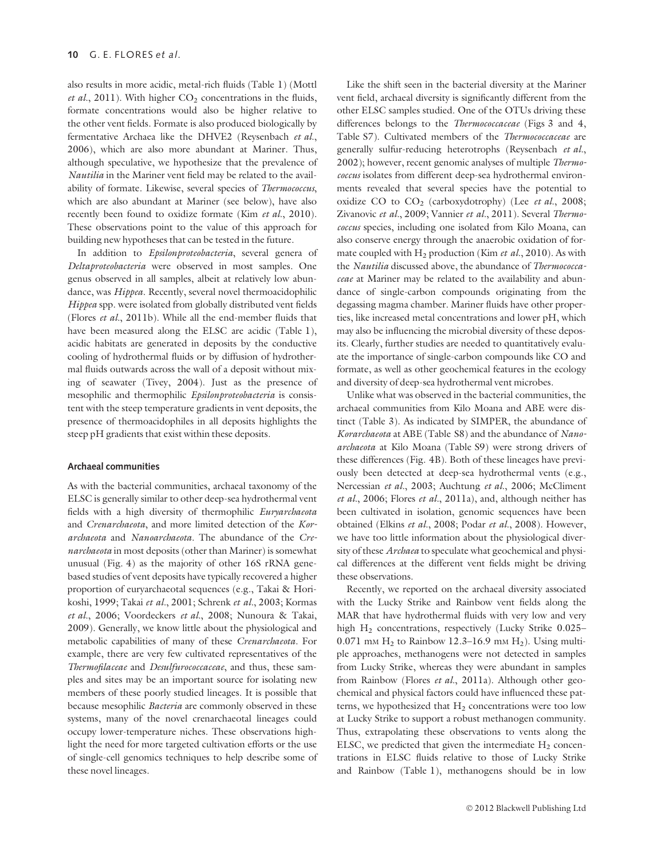also results in more acidic, metal-rich fluids (Table 1) (Mottl et al., 2011). With higher  $CO<sub>2</sub>$  concentrations in the fluids, formate concentrations would also be higher relative to the other vent fields. Formate is also produced biologically by fermentative Archaea like the DHVE2 (Reysenbach et al., 2006), which are also more abundant at Mariner. Thus, although speculative, we hypothesize that the prevalence of Nautilia in the Mariner vent field may be related to the availability of formate. Likewise, several species of Thermococcus, which are also abundant at Mariner (see below), have also recently been found to oxidize formate (Kim et al., 2010). These observations point to the value of this approach for building new hypotheses that can be tested in the future.

In addition to Epsilonproteobacteria, several genera of Deltaproteobacteria were observed in most samples. One genus observed in all samples, albeit at relatively low abundance, was Hippea. Recently, several novel thermoacidophilic Hippea spp. were isolated from globally distributed vent fields (Flores et al., 2011b). While all the end-member fluids that have been measured along the ELSC are acidic (Table 1), acidic habitats are generated in deposits by the conductive cooling of hydrothermal fluids or by diffusion of hydrothermal fluids outwards across the wall of a deposit without mixing of seawater (Tivey, 2004). Just as the presence of mesophilic and thermophilic Epsilonproteobacteria is consistent with the steep temperature gradients in vent deposits, the presence of thermoacidophiles in all deposits highlights the steep pH gradients that exist within these deposits.

#### Archaeal communities

As with the bacterial communities, archaeal taxonomy of the ELSC is generally similar to other deep-sea hydrothermal vent fields with a high diversity of thermophilic Euryarchaeota and Crenarchaeota, and more limited detection of the Korarchaeota and Nanoarchaeota. The abundance of the Crenarchaeota in most deposits (other than Mariner) is somewhat unusual (Fig. 4) as the majority of other 16S rRNA genebased studies of vent deposits have typically recovered a higher proportion of euryarchaeotal sequences (e.g., Takai & Horikoshi, 1999; Takai et al., 2001; Schrenk et al., 2003; Kormas et al., 2006; Voordeckers et al., 2008; Nunoura & Takai, 2009). Generally, we know little about the physiological and metabolic capabilities of many of these Crenarchaeota. For example, there are very few cultivated representatives of the Thermofilaceae and Desulfurococcaceae, and thus, these samples and sites may be an important source for isolating new members of these poorly studied lineages. It is possible that because mesophilic Bacteria are commonly observed in these systems, many of the novel crenarchaeotal lineages could occupy lower-temperature niches. These observations highlight the need for more targeted cultivation efforts or the use of single-cell genomics techniques to help describe some of these novel lineages.

Like the shift seen in the bacterial diversity at the Mariner vent field, archaeal diversity is significantly different from the other ELSC samples studied. One of the OTUs driving these differences belongs to the *Thermococcaceae* (Figs 3 and 4, Table S7). Cultivated members of the Thermococcaceae are generally sulfur-reducing heterotrophs (Reysenbach et al., 2002); however, recent genomic analyses of multiple *Thermo*coccus isolates from different deep-sea hydrothermal environments revealed that several species have the potential to oxidize CO to  $CO<sub>2</sub>$  (carboxydotrophy) (Lee et al., 2008; Zivanovic et al., 2009; Vannier et al., 2011). Several Thermococcus species, including one isolated from Kilo Moana, can also conserve energy through the anaerobic oxidation of formate coupled with  $H_2$  production (Kim et al., 2010). As with the Nautilia discussed above, the abundance of Thermococcaceae at Mariner may be related to the availability and abundance of single-carbon compounds originating from the degassing magma chamber. Mariner fluids have other properties, like increased metal concentrations and lower pH, which may also be influencing the microbial diversity of these deposits. Clearly, further studies are needed to quantitatively evaluate the importance of single-carbon compounds like CO and formate, as well as other geochemical features in the ecology and diversity of deep-sea hydrothermal vent microbes.

Unlike what was observed in the bacterial communities, the archaeal communities from Kilo Moana and ABE were distinct (Table 3). As indicated by SIMPER, the abundance of Korarchaeota at ABE (Table S8) and the abundance of Nanoarchaeota at Kilo Moana (Table S9) were strong drivers of these differences (Fig. 4B). Both of these lineages have previously been detected at deep-sea hydrothermal vents (e.g., Nercessian et al., 2003; Auchtung et al., 2006; McCliment et al., 2006; Flores et al., 2011a), and, although neither has been cultivated in isolation, genomic sequences have been obtained (Elkins et al., 2008; Podar et al., 2008). However, we have too little information about the physiological diversity of these Archaea to speculate what geochemical and physical differences at the different vent fields might be driving these observations.

Recently, we reported on the archaeal diversity associated with the Lucky Strike and Rainbow vent fields along the MAR that have hydrothermal fluids with very low and very high H<sub>2</sub> concentrations, respectively (Lucky Strike 0.025– 0.071 mm  $H_2$  to Rainbow 12.3-16.9 mm  $H_2$ ). Using multiple approaches, methanogens were not detected in samples from Lucky Strike, whereas they were abundant in samples from Rainbow (Flores et al., 2011a). Although other geochemical and physical factors could have influenced these patterns, we hypothesized that  $H_2$  concentrations were too low at Lucky Strike to support a robust methanogen community. Thus, extrapolating these observations to vents along the ELSC, we predicted that given the intermediate  $H_2$  concentrations in ELSC fluids relative to those of Lucky Strike and Rainbow (Table 1), methanogens should be in low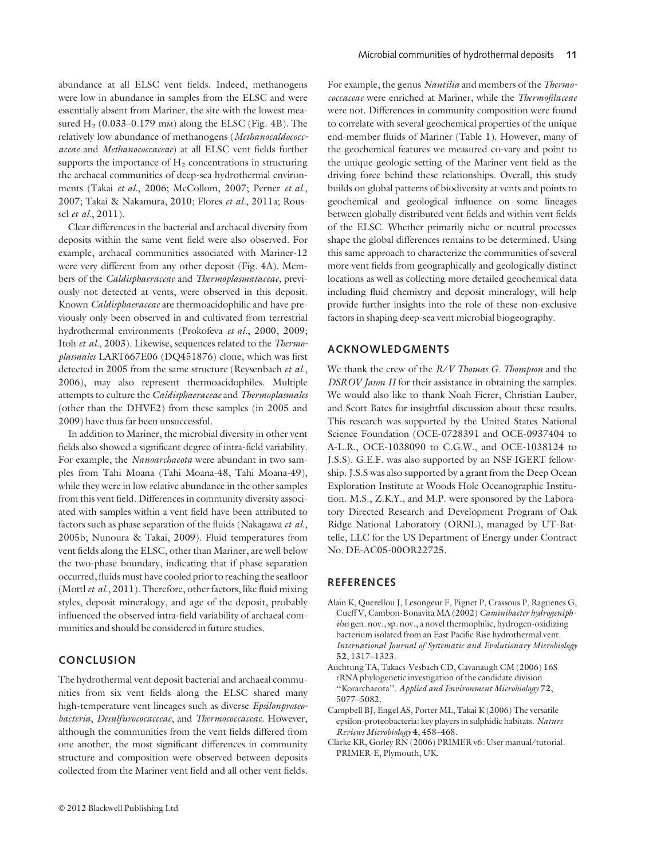abundance at all ELSC vent fields. Indeed, methanogens were low in abundance in samples from the ELSC and were essentially absent from Mariner, the site with the lowest measured  $H<sub>2</sub>$  (0.033–0.179 mm) along the ELSC (Fig. 4B). The relatively low abundance of methanogens (Methanocaldococcaceae and Methanococcaceae) at all ELSC vent fields further supports the importance of  $H_2$  concentrations in structuring the archaeal communities of deep-sea hydrothermal environments (Takai et al., 2006; McCollom, 2007; Perner et al., 2007; Takai & Nakamura, 2010; Flores et al., 2011a; Roussel et al., 2011).

Clear differences in the bacterial and archaeal diversity from deposits within the same vent field were also observed. For example, archaeal communities associated with Mariner-12 were very different from any other deposit (Fig. 4A). Members of the Caldisphaeraceae and Thermoplasmataceae, previously not detected at vents, were observed in this deposit. Known Caldisphaeraceae are thermoacidophilic and have previously only been observed in and cultivated from terrestrial hydrothermal environments (Prokofeva et al., 2000, 2009; Itoh et al., 2003). Likewise, sequences related to the Thermoplasmales LART667E06 (DQ451876) clone, which was first detected in 2005 from the same structure (Reysenbach et al., 2006), may also represent thermoacidophiles. Multiple attempts to culture the Caldisphaeraceae and Thermoplasmales (other than the DHVE2) from these samples (in 2005 and 2009) have thus far been unsuccessful.

In addition to Mariner, the microbial diversity in other vent fields also showed a significant degree of intra-field variability. For example, the Nanoarchaeota were abundant in two samples from Tahi Moana (Tahi Moana-48, Tahi Moana-49), while they were in low relative abundance in the other samples from this vent field. Differences in community diversity associated with samples within a vent field have been attributed to factors such as phase separation of the fluids (Nakagawa et al., 2005b; Nunoura & Takai, 2009). Fluid temperatures from vent fields along the ELSC, other than Mariner, are well below the two-phase boundary, indicating that if phase separation occurred, fluids must have cooled prior to reaching the seafloor (Mottl et al.,  $2011$ ). Therefore, other factors, like fluid mixing styles, deposit mineralogy, and age of the deposit, probably influenced the observed intra-field variability of archaeal communities and should be considered in future studies.

# **CONCLUSION**

The hydrothermal vent deposit bacterial and archaeal communities from six vent fields along the ELSC shared many high-temperature vent lineages such as diverse Epsilonproteobacteria, Desulfurococacceae, and Thermococcaceae. However, although the communities from the vent fields differed from one another, the most significant differences in community structure and composition were observed between deposits collected from the Mariner vent field and all other vent fields.

For example, the genus Nautilia and members of the Thermococcaceae were enriched at Mariner, while the Thermofilaceae were not. Differences in community composition were found to correlate with several geochemical properties of the unique end-member fluids of Mariner (Table 1). However, many of the geochemical features we measured co-vary and point to the unique geologic setting of the Mariner vent field as the driving force behind these relationships. Overall, this study builds on global patterns of biodiversity at vents and points to geochemical and geological influence on some lineages between globally distributed vent fields and within vent fields of the ELSC. Whether primarily niche or neutral processes shape the global differences remains to be determined. Using this same approach to characterize the communities of several more vent fields from geographically and geologically distinct locations as well as collecting more detailed geochemical data including fluid chemistry and deposit mineralogy, will help provide further insights into the role of these non-exclusive factors in shaping deep-sea vent microbial biogeography.

# ACKNOWLEDGMENTS

We thank the crew of the  $R/V$  Thomas G. Thompson and the DSROV Jason II for their assistance in obtaining the samples. We would also like to thank Noah Fierer, Christian Lauber, and Scott Bates for insightful discussion about these results. This research was supported by the United States National Science Foundation (OCE-0728391 and OCE-0937404 to A-L.R., OCE-1038090 to C.G.W., and OCE-1038124 to J.S.S). G.E.F. was also supported by an NSF IGERT fellowship. J.S.S was also supported by a grant from the Deep Ocean Exploration Institute at Woods Hole Oceanographic Institution. M.S., Z.K.Y., and M.P. were sponsored by the Laboratory Directed Research and Development Program of Oak Ridge National Laboratory (ORNL), managed by UT-Battelle, LLC for the US Department of Energy under Contract No. DE-AC05-00OR22725.

## **REFERENCES**

- Alain K, Querellou J, Lesongeur F, Pignet P, Crassous P, Raguenes G, Cueff V, Cambon-Bonavita MA (2002) Caminibacter hydrogeniphilus gen. nov., sp. nov., a novel thermophilic, hydrogen-oxidizing bacterium isolated from an East Pacific Rise hydrothermal vent. International Journal of Systematic and Evolutionary Microbiology 52, 1317–1323.
- Auchtung TA, Takacs-Vesbach CD, Cavanaugh CM (2006) 16S rRNA phylogenetic investigation of the candidate division ''Korarchaeota''. Applied and Environment Microbiology 72, 5077–5082.
- Campbell BJ, Engel AS, Porter ML, Takai K (2006) The versatile epsilon-proteobacteria: key players in sulphidic habitats. Nature Reviews Microbiology 4, 458–468.
- Clarke KR, Gorley RN (2006) PRIMER v6: User manual/tutorial. PRIMER-E, Plymouth, UK.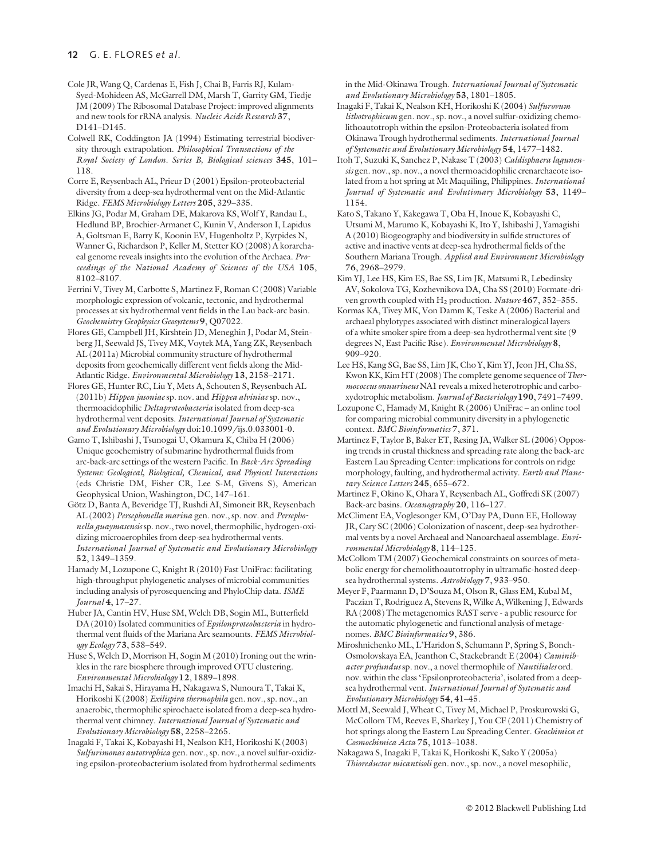# 12 G. E. FLORES et al.

Cole JR, Wang Q, Cardenas E, Fish J, Chai B, Farris RJ, Kulam-Syed-Mohideen AS, McGarrell DM, Marsh T, Garrity GM, Tiedje JM (2009) The Ribosomal Database Project: improved alignments and new tools for rRNA analysis. Nucleic Acids Research 37, D141–D145.

Colwell RK, Coddington JA (1994) Estimating terrestrial biodiversity through extrapolation. Philosophical Transactions of the Royal Society of London. Series B, Biological sciences 345, 101– 118.

Corre E, Reysenbach AL, Prieur D (2001) Epsilon-proteobacterial diversity from a deep-sea hydrothermal vent on the Mid-Atlantic Ridge. FEMS Microbiology Letters 205, 329–335.

Elkins JG, Podar M, Graham DE, Makarova KS, Wolf Y, Randau L, Hedlund BP, Brochier-Armanet C, Kunin V, Anderson I, Lapidus A, Goltsman E, Barry K, Koonin EV, Hugenholtz P, Kyrpides N, Wanner G, Richardson P, Keller M, Stetter KO (2008) A korarchaeal genome reveals insights into the evolution of the Archaea. Proceedings of the National Academy of Sciences of the USA 105, 8102–8107.

Ferrini V, Tivey M, Carbotte S, Martinez F, Roman C (2008) Variable morphologic expression of volcanic, tectonic, and hydrothermal processes at six hydrothermal vent fields in the Lau back-arc basin. Geochemistry Geophysics Geosystems 9, Q07022.

Flores GE, Campbell JH, Kirshtein JD, Meneghin J, Podar M, Steinberg JI, Seewald JS, Tivey MK, Voytek MA, Yang ZK, Reysenbach AL (2011a) Microbial community structure of hydrothermal deposits from geochemically different vent fields along the Mid-Atlantic Ridge. Environmental Microbiology 13, 2158–2171.

Flores GE, Hunter RC, Liu Y, Mets A, Schouten S, Reysenbach AL (2011b) Hippea jasoniae sp. nov. and Hippea alviniae sp. nov., thermoacidophilic Deltaproteobacteria isolated from deep-sea hydrothermal vent deposits. International Journal of Systematic and Evolutionary Microbiology doi:10.1099/ijs.0.033001-0.

Gamo T, Ishibashi J, Tsunogai U, Okamura K, Chiba H (2006) Unique geochemistry of submarine hydrothermal fluids from arc-back-arc settings of the western Pacific. In Back-Arc Spreading Systems: Geological, Biological, Chemical, and Physical Interactions (eds Christie DM, Fisher CR, Lee S-M, Givens S), American Geophysical Union, Washington, DC, 147–161.

Götz D, Banta A, Beveridge TJ, Rushdi AI, Simoneit BR, Reysenbach AL (2002) Persephonella marina gen. nov., sp. nov. and Persephonella guaymasensis sp. nov., two novel, thermophilic, hydrogen-oxidizing microaerophiles from deep-sea hydrothermal vents. International Journal of Systematic and Evolutionary Microbiology 52, 1349–1359.

Hamady M, Lozupone C, Knight R (2010) Fast UniFrac: facilitating high-throughput phylogenetic analyses of microbial communities including analysis of pyrosequencing and PhyloChip data. ISME Journal 4, 17–27.

Huber JA, Cantin HV, Huse SM, Welch DB, Sogin ML, Butterfield DA (2010) Isolated communities of Epsilonproteobacteria in hydrothermal vent fluids of the Mariana Arc seamounts. FEMS Microbiology Ecology 73, 538–549.

Huse S, Welch D, Morrison H, Sogin M (2010) Ironing out the wrinkles in the rare biosphere through improved OTU clustering. Environmental Microbiology 12, 1889–1898.

Imachi H, Sakai S, Hirayama H, Nakagawa S, Nunoura T, Takai K, Horikoshi K (2008) Exilispira thermophila gen. nov., sp. nov., an anaerobic, thermophilic spirochaete isolated from a deep-sea hydrothermal vent chimney. International Journal of Systematic and Evolutionary Microbiology 58, 2258–2265.

Inagaki F, Takai K, Kobayashi H, Nealson KH, Horikoshi K (2003) Sulfurimonas autotrophica gen. nov., sp. nov., a novel sulfur-oxidizing epsilon-proteobacterium isolated from hydrothermal sediments in the Mid-Okinawa Trough. International Journal of Systematic and Evolutionary Microbiology 53, 1801–1805.

Inagaki F, Takai K, Nealson KH, Horikoshi K (2004) Sulfurovum lithotrophicum gen. nov., sp. nov., a novel sulfur-oxidizing chemolithoautotroph within the epsilon-Proteobacteria isolated from Okinawa Trough hydrothermal sediments. International Journal of Systematic and Evolutionary Microbiology 54, 1477–1482.

Itoh T, Suzuki K, Sanchez P, Nakase T (2003) Caldisphaera lagunensis gen. nov., sp. nov., a novel thermoacidophilic crenarchaeote isolated from a hot spring at Mt Maquiling, Philippines. International Journal of Systematic and Evolutionary Microbiology 53, 1149– 1154.

Kato S, Takano Y, Kakegawa T, Oba H, Inoue K, Kobayashi C, Utsumi M, Marumo K, Kobayashi K, Ito Y, Ishibashi J, Yamagishi A (2010) Biogeography and biodiversity in sulfide structures of active and inactive vents at deep-sea hydrothermal fields of the Southern Mariana Trough. Applied and Environment Microbiology 76, 2968–2979.

Kim YJ, Lee HS, Kim ES, Bae SS, Lim JK, Matsumi R, Lebedinsky AV, Sokolova TG, Kozhevnikova DA, Cha SS (2010) Formate-driven growth coupled with  $H_2$  production. Nature 467, 352–355.

Kormas KA, Tivey MK, Von Damm K, Teske A (2006) Bacterial and archaeal phylotypes associated with distinct mineralogical layers of a white smoker spire from a deep-sea hydrothermal vent site (9 degrees N, East Pacific Rise). Environmental Microbiology 8, 909–920.

Lee HS, Kang SG, Bae SS, Lim JK, Cho Y, Kim YJ, Jeon JH, Cha SS, Kwon KK, Kim HT  $(2008)$  The complete genome sequence of *Ther*mococcus onnurineus NA1 reveals a mixed heterotrophic and carboxydotrophic metabolism. Journal of Bacteriology 190, 7491-7499.

Lozupone C, Hamady M, Knight R (2006) UniFrac – an online tool for comparing microbial community diversity in a phylogenetic context. BMC Bioinformatics 7, 371.

Martinez F, Taylor B, Baker ET, Resing JA, Walker SL (2006) Opposing trends in crustal thickness and spreading rate along the back-arc Eastern Lau Spreading Center: implications for controls on ridge morphology, faulting, and hydrothermal activity. Earth and Planetary Science Letters 245, 655–672.

Martinez F, Okino K, Ohara Y, Reysenbach AL, Goffredi SK (2007) Back-arc basins. Oceanography 20, 116–127.

McCliment EA, Voglesonger KM, O'Day PA, Dunn EE, Holloway JR, Cary SC (2006) Colonization of nascent, deep-sea hydrothermal vents by a novel Archaeal and Nanoarchaeal assemblage. Environmental Microbiology 8, 114–125.

McCollom TM (2007) Geochemical constraints on sources of metabolic energy for chemolithoautotrophy in ultramafic-hosted deepsea hydrothermal systems. Astrobiology 7, 933–950.

Meyer F, Paarmann D, D'Souza M, Olson R, Glass EM, Kubal M, Paczian T, Rodriguez A, Stevens R, Wilke A, Wilkening J, Edwards RA (2008) The metagenomics RAST serve - a public resource for the automatic phylogenetic and functional analysis of metagenomes. BMC Bioinformatics 9, 386.

Miroshnichenko ML, L'Haridon S, Schumann P, Spring S, Bonch-Osmolovskaya EA, Jeanthon C, Stackebrandt E (2004) Caminibacter profundus sp. nov., a novel thermophile of Nautiliales ord. nov. within the class 'Epsilonproteobacteria', isolated from a deepsea hydrothermal vent. International Journal of Systematic and Evolutionary Microbiology 54, 41–45.

Mottl M, Seewald J, Wheat C, Tivey M, Michael P, Proskurowski G, McCollom TM, Reeves E, Sharkey J, You CF (2011) Chemistry of hot springs along the Eastern Lau Spreading Center. Geochimica et Cosmochimica Acta 75, 1013–1038.

Nakagawa S, Inagaki F, Takai K, Horikoshi K, Sako Y (2005a) Thioreductor micantisoli gen. nov., sp. nov., a novel mesophilic,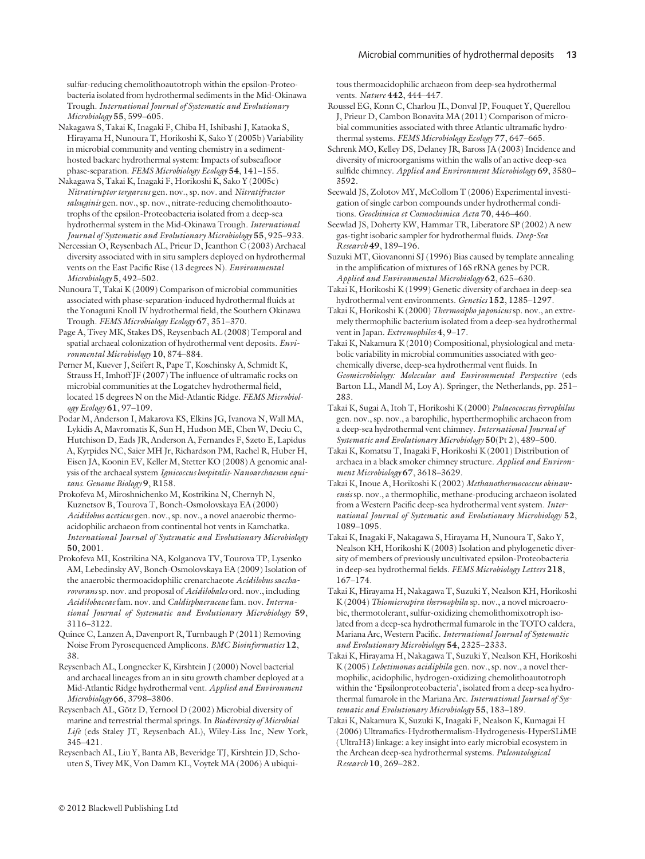sulfur-reducing chemolithoautotroph within the epsilon-Proteobacteria isolated from hydrothermal sediments in the Mid-Okinawa Trough. International Journal of Systematic and Evolutionary Microbiology 55, 599-605.

Nakagawa S, Takai K, Inagaki F, Chiba H, Ishibashi J, Kataoka S, Hirayama H, Nunoura T, Horikoshi K, Sako Y (2005b) Variability in microbial community and venting chemistry in a sedimenthosted backarc hydrothermal system: Impacts of subseafloor phase-separation. FEMS Microbiology Ecology 54, 141-155.

Nakagawa S, Takai K, Inagaki F, Horikoshi K, Sako Y (2005c) Nitratiruptor tergarcus gen. nov., sp. nov. and Nitratifractor salsuginis gen. nov., sp. nov., nitrate-reducing chemolithoautotrophs of the epsilon-Proteobacteria isolated from a deep-sea hydrothermal system in the Mid-Okinawa Trough. International Journal of Systematic and Evolutionary Microbiology 55, 925–933.

Nercessian O, Reysenbach AL, Prieur D, Jeanthon C (2003) Archaeal diversity associated with in situ samplers deployed on hydrothermal vents on the East Pacific Rise (13 degrees N). Environmental Microbiology 5, 492-502.

Nunoura T, Takai K (2009) Comparison of microbial communities associated with phase-separation-induced hydrothermal fluids at the Yonaguni Knoll IV hydrothermal field, the Southern Okinawa Trough. FEMS Microbiology Ecology 67, 351–370.

Page A, Tivey MK, Stakes DS, Reysenbach AL (2008) Temporal and spatial archaeal colonization of hydrothermal vent deposits. Environmental Microbiology 10, 874–884.

Perner M, Kuever J, Seifert R, Pape T, Koschinsky A, Schmidt K, Strauss H, Imhoff JF (2007) The influence of ultramafic rocks on microbial communities at the Logatchev hydrothermal field, located 15 degrees N on the Mid-Atlantic Ridge. FEMS Microbiology Ecology 61, 97–109.

Podar M, Anderson I, Makarova KS, Elkins JG, Ivanova N, Wall MA, Lykidis A, Mavromatis K, Sun H, Hudson ME, Chen W, Deciu C, Hutchison D, Eads JR, Anderson A, Fernandes F, Szeto E, Lapidus A, Kyrpides NC, Saier MH Jr, Richardson PM, Rachel R, Huber H, Eisen JA, Koonin EV, Keller M, Stetter KO (2008) A genomic analysis of the archaeal system Ignicoccus hospitalis-Nanoarchaeum equitans. Genome Biology 9, R158.

Prokofeva M, Miroshnichenko M, Kostrikina N, Chernyh N, Kuznetsov B, Tourova T, Bonch-Osmolovskaya EA (2000) Acidilobus aceticus gen. nov., sp. nov., a novel anaerobic thermoacidophilic archaeon from continental hot vents in Kamchatka. International Journal of Systematic and Evolutionary Microbiology 50, 2001.

Prokofeva MI, Kostrikina NA, Kolganova TV, Tourova TP, Lysenko AM, Lebedinsky AV, Bonch-Osmolovskaya EA (2009) Isolation of the anaerobic thermoacidophilic crenarchaeote Acidilobus saccharovorans sp. nov. and proposal of Acidilobales ord. nov., including Acidilobaceae fam. nov. and Caldisphaeraceae fam. nov. International Journal of Systematic and Evolutionary Microbiology 59, 3116–3122.

Quince C, Lanzen A, Davenport R, Turnbaugh P (2011) Removing Noise From Pyrosequenced Amplicons. BMC Bioinformatics 12, 38.

Reysenbach AL, Longnecker K, Kirshtein J (2000) Novel bacterial and archaeal lineages from an in situ growth chamber deployed at a Mid-Atlantic Ridge hydrothermal vent. Applied and Environment Microbiology 66, 3798–3806.

Reysenbach AL, Götz D, Yernool D (2002) Microbial diversity of marine and terrestrial thermal springs. In Biodiversity of Microbial Life (eds Staley JT, Reysenbach AL), Wiley-Liss Inc, New York, 345–421.

Reysenbach AL, Liu Y, Banta AB, Beveridge TJ, Kirshtein JD, Schouten S, Tivey MK, Von Damm KL, Voytek MA (2006) A ubiquitous thermoacidophilic archaeon from deep-sea hydrothermal vents. Nature 442, 444-447.

Roussel EG, Konn C, Charlou JL, Donval JP, Fouquet Y, Querellou J, Prieur D, Cambon Bonavita MA (2011) Comparison of microbial communities associated with three Atlantic ultramafic hydrothermal systems. FEMS Microbiology Ecology 77, 647–665.

Schrenk MO, Kelley DS, Delaney JR, Baross JA (2003) Incidence and diversity of microorganisms within the walls of an active deep-sea sulfide chimney. Applied and Environment Microbiology 69, 3580-3592.

Seewald JS, Zolotov MY, McCollom T (2006) Experimental investigation of single carbon compounds under hydrothermal conditions. Geochimica et Cosmochimica Acta 70, 446–460.

Seewlad JS, Doherty KW, Hammar TR, Liberatore SP (2002) A new gas-tight isobaric sampler for hydrothermal fluids. Deep-Sea Research 49, 189–196.

Suzuki MT, Giovanonni SJ (1996) Bias caused by template annealing in the amplification of mixtures of 16S rRNA genes by PCR. Applied and Environmental Microbiology 62, 625–630.

Takai K, Horikoshi K (1999) Genetic diversity of archaea in deep-sea hydrothermal vent environments. Genetics 152, 1285–1297.

Takai K, Horikoshi K (2000) Thermosipho japonicus sp. nov., an extremely thermophilic bacterium isolated from a deep-sea hydrothermal vent in Japan. Extremophiles 4, 9–17.

Takai K, Nakamura K (2010) Compositional, physiological and metabolic variability in microbial communities associated with geochemically diverse, deep-sea hydrothermal vent fluids. In Geomicrobiology: Molecular and Environmental Perspective (eds Barton LL, Mandl M, Loy A). Springer, the Netherlands, pp. 251– 283.

Takai K, Sugai A, Itoh T, Horikoshi K (2000) Palaeococcus ferrophilus gen. nov., sp. nov., a barophilic, hyperthermophilic archaeon from a deep-sea hydrothermal vent chimney. International Journal of Systematic and Evolutionary Microbiology 50(Pt 2), 489–500.

Takai K, Komatsu T, Inagaki F, Horikoshi K (2001) Distribution of archaea in a black smoker chimney structure. Applied and Environment Microbiology 67, 3618–3629.

Takai K, Inoue A, Horikoshi K (2002) Methanothermococcus okinawensis sp. nov., a thermophilic, methane-producing archaeon isolated from a Western Pacific deep-sea hydrothermal vent system. International Journal of Systematic and Evolutionary Microbiology 52, 1089–1095.

Takai K, Inagaki F, Nakagawa S, Hirayama H, Nunoura T, Sako Y, Nealson KH, Horikoshi K (2003) Isolation and phylogenetic diversity of members of previously uncultivated epsilon-Proteobacteria in deep-sea hydrothermal fields. FEMS Microbiology Letters 218, 167–174.

Takai K, Hirayama H, Nakagawa T, Suzuki Y, Nealson KH, Horikoshi K (2004) Thiomicrospira thermophila sp. nov., a novel microaerobic, thermotolerant, sulfur-oxidizing chemolithomixotroph isolated from a deep-sea hydrothermal fumarole in the TOTO caldera, Mariana Arc, Western Pacific. International Journal of Systematic and Evolutionary Microbiology 54, 2325–2333.

Takai K, Hirayama H, Nakagawa T, Suzuki Y, Nealson KH, Horikoshi K (2005) Lebetimonas acidiphila gen. nov., sp. nov., a novel thermophilic, acidophilic, hydrogen-oxidizing chemolithoautotroph within the 'Epsilonproteobacteria', isolated from a deep-sea hydrothermal fumarole in the Mariana Arc. International Journal of Systematic and Evolutionary Microbiology 55, 183–189.

Takai K, Nakamura K, Suzuki K, Inagaki F, Nealson K, Kumagai H (2006) Ultramafics-Hydrothermalism-Hydrogenesis-HyperSLiME (UltraH3) linkage: a key insight into early microbial ecosystem in the Archean deep-sea hydrothermal systems. Paleontological Research 10, 269–282.